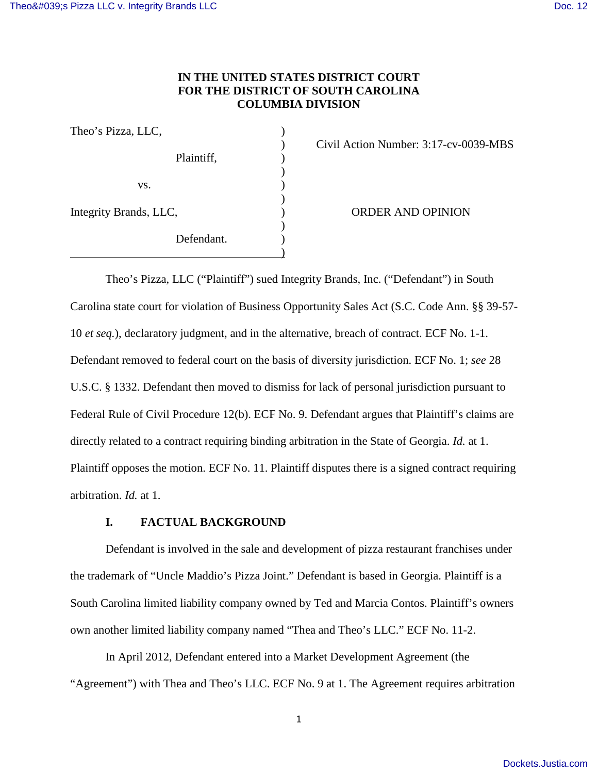## **IN THE UNITED STATES DISTRICT COURT FOR THE DISTRICT OF SOUTH CAROLINA COLUMBIA DIVISION**

| Theo's Pizza, LLC,     |            |  |
|------------------------|------------|--|
|                        | Plaintiff, |  |
| VS.                    |            |  |
| Integrity Brands, LLC, |            |  |
|                        | Defendant. |  |
|                        |            |  |

) Civil Action Number: 3:17-cv-0039-MBS

**ORDER AND OPINION** 

Theo's Pizza, LLC ("Plaintiff") sued Integrity Brands, Inc. ("Defendant") in South Carolina state court for violation of Business Opportunity Sales Act (S.C. Code Ann. §§ 39-57- 10 *et seq.*), declaratory judgment, and in the alternative, breach of contract. ECF No. 1-1. Defendant removed to federal court on the basis of diversity jurisdiction. ECF No. 1; *see* 28 U.S.C. § 1332. Defendant then moved to dismiss for lack of personal jurisdiction pursuant to Federal Rule of Civil Procedure 12(b). ECF No. 9. Defendant argues that Plaintiff's claims are directly related to a contract requiring binding arbitration in the State of Georgia. *Id.* at 1. Plaintiff opposes the motion. ECF No. 11. Plaintiff disputes there is a signed contract requiring arbitration. *Id.* at 1.

## **I. FACTUAL BACKGROUND**

Defendant is involved in the sale and development of pizza restaurant franchises under the trademark of "Uncle Maddio's Pizza Joint." Defendant is based in Georgia. Plaintiff is a South Carolina limited liability company owned by Ted and Marcia Contos. Plaintiff's owners own another limited liability company named "Thea and Theo's LLC." ECF No. 11-2.

In April 2012, Defendant entered into a Market Development Agreement (the "Agreement") with Thea and Theo's LLC. ECF No. 9 at 1. The Agreement requires arbitration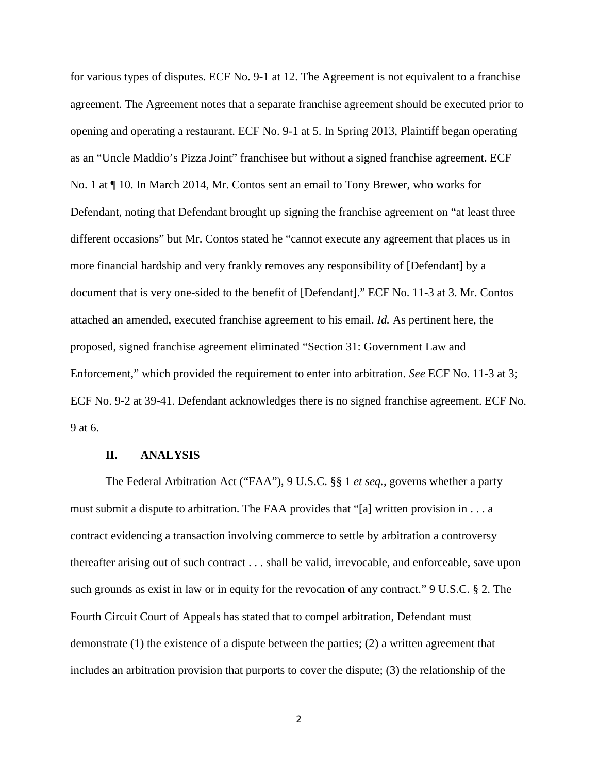for various types of disputes. ECF No. 9-1 at 12. The Agreement is not equivalent to a franchise agreement. The Agreement notes that a separate franchise agreement should be executed prior to opening and operating a restaurant. ECF No. 9-1 at 5. In Spring 2013, Plaintiff began operating as an "Uncle Maddio's Pizza Joint" franchisee but without a signed franchise agreement. ECF No. 1 at ¶ 10. In March 2014, Mr. Contos sent an email to Tony Brewer, who works for Defendant, noting that Defendant brought up signing the franchise agreement on "at least three different occasions" but Mr. Contos stated he "cannot execute any agreement that places us in more financial hardship and very frankly removes any responsibility of [Defendant] by a document that is very one-sided to the benefit of [Defendant]." ECF No. 11-3 at 3. Mr. Contos attached an amended, executed franchise agreement to his email. *Id.* As pertinent here, the proposed, signed franchise agreement eliminated "Section 31: Government Law and Enforcement," which provided the requirement to enter into arbitration. *See* ECF No. 11-3 at 3; ECF No. 9-2 at 39-41. Defendant acknowledges there is no signed franchise agreement. ECF No. 9 at 6.

## **II. ANALYSIS**

 The Federal Arbitration Act ("FAA"), 9 U.S.C. §§ 1 *et seq.*, governs whether a party must submit a dispute to arbitration. The FAA provides that "[a] written provision in  $\dots$  a contract evidencing a transaction involving commerce to settle by arbitration a controversy thereafter arising out of such contract . . . shall be valid, irrevocable, and enforceable, save upon such grounds as exist in law or in equity for the revocation of any contract." 9 U.S.C. § 2. The Fourth Circuit Court of Appeals has stated that to compel arbitration, Defendant must demonstrate (1) the existence of a dispute between the parties; (2) a written agreement that includes an arbitration provision that purports to cover the dispute; (3) the relationship of the

2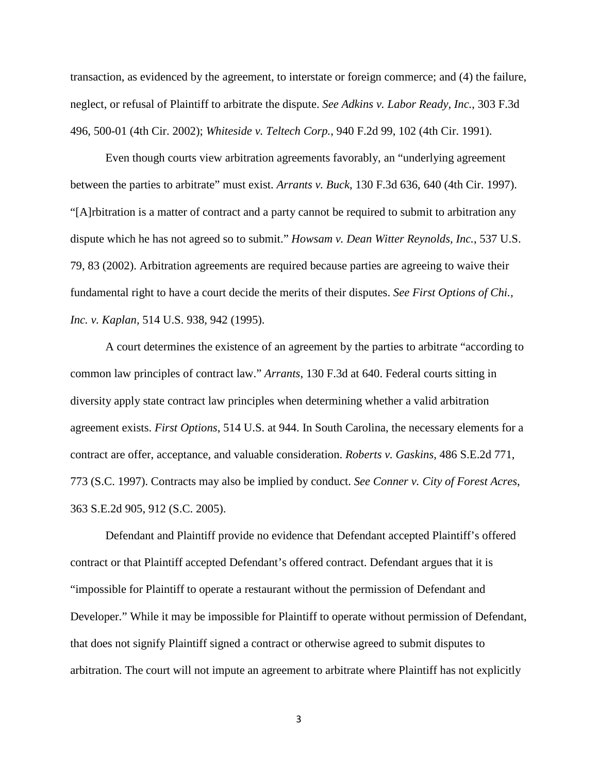transaction, as evidenced by the agreement, to interstate or foreign commerce; and (4) the failure, neglect, or refusal of Plaintiff to arbitrate the dispute. *See Adkins v. Labor Ready, Inc.*, 303 F.3d 496, 500-01 (4th Cir. 2002); *Whiteside v. Teltech Corp.*, 940 F.2d 99, 102 (4th Cir. 1991).

Even though courts view arbitration agreements favorably, an "underlying agreement between the parties to arbitrate" must exist. *Arrants v. Buck*, 130 F.3d 636, 640 (4th Cir. 1997). "[A]rbitration is a matter of contract and a party cannot be required to submit to arbitration any dispute which he has not agreed so to submit." *Howsam v. Dean Witter Reynolds, Inc.*, 537 U.S. 79, 83 (2002). Arbitration agreements are required because parties are agreeing to waive their fundamental right to have a court decide the merits of their disputes. *See First Options of Chi., Inc. v. Kaplan,* 514 U.S. 938, 942 (1995).

A court determines the existence of an agreement by the parties to arbitrate "according to common law principles of contract law." *Arrants*, 130 F.3d at 640. Federal courts sitting in diversity apply state contract law principles when determining whether a valid arbitration agreement exists. *First Options*, 514 U.S. at 944. In South Carolina, the necessary elements for a contract are offer, acceptance, and valuable consideration. *Roberts v. Gaskins*, 486 S.E.2d 771, 773 (S.C. 1997). Contracts may also be implied by conduct. *See Conner v. City of Forest Acres*, 363 S.E.2d 905, 912 (S.C. 2005).

Defendant and Plaintiff provide no evidence that Defendant accepted Plaintiff's offered contract or that Plaintiff accepted Defendant's offered contract. Defendant argues that it is "impossible for Plaintiff to operate a restaurant without the permission of Defendant and Developer." While it may be impossible for Plaintiff to operate without permission of Defendant, that does not signify Plaintiff signed a contract or otherwise agreed to submit disputes to arbitration. The court will not impute an agreement to arbitrate where Plaintiff has not explicitly

3